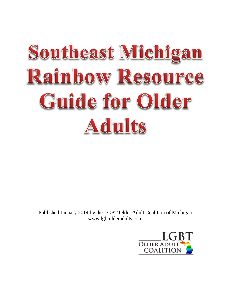# Southeast Michigan Rainbow Resource Guide for Older **Adults**

Published January 2014 by the LGBT Older Adult Coalition of Michigan www.lgbtolderadults.com

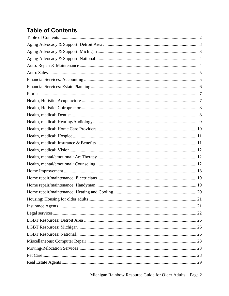# <span id="page-1-0"></span>**Table of Contents**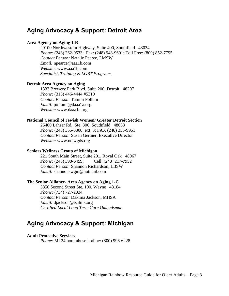# <span id="page-2-0"></span>**Aging Advocacy & Support: Detroit Area**

# **Area Agency on Aging 1-B**

29100 Northwestern Highway, Suite 400, Southfield 48034 *Phone:* (248) 262-0533; Fax: (248) 948-9691; Toll Free: (800) 852-7795 *Contact Person:* Natalie Pearce, LMSW *Email:* npearce@aaa1b.com *Website:* www.aaa1b.com *Specialist, Training & LGBT Programs*

# **Detroit Area Agency on Aging**

1333 Brewery Park Blvd. Suite 200, Detroit 48207 *Phone:* (313) 446-4444 #5310 *Contact Person:* Tammi Pollum *Email:* pollumt@daaa1a.org *Website:* www.daaa1a.org

#### **National Council of Jewish Women/ Greater Detroit Section**

26400 Lahser Rd., Ste. 306, Southfield 48033 *Phone:* (248) 355-3300, ext. 3; FAX (248) 355-9951 *Contact Person:* Susan Gertner, Executive Director *Website:* www.ncjwgds.org

#### **Seniors Wellness Group of Michigan**

221 South Main Street, Suite 201, Royal Oak 48067 *Phone:* (248) 398-6459; Cell: (248) 217-7952 *Contact Person:* Shannon Richardson, LBSW *Email:* shannonswgm@hotmail.com

# **The Senior Alliance- Area Agency on Aging 1-C**

3850 Second Street Ste. 100, Wayne 48184 *Phone:* (734) 727-2034 *Contact Person:* Dakima Jackson, MHSA *Email:* djackson@tsalink.org *Certified Local Long Term Care Ombudsman*

# <span id="page-2-1"></span>**Aging Advocacy & Support: Michigan**

#### **Adult Protective Services**

*Phone:* MI 24 hour abuse hotline: (800) 996-6228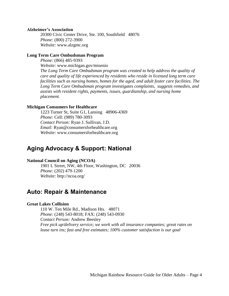## **Alzheimer's Association**

20300 Civic Center Drive, Ste. 100, Southfield 48076 *Phone:* (800) 272-3900 *Website:* www.alzgmc.org

# **Long Term Care Ombudsman Program**

*Phone:* (866) 485-9393 *Website:* www.michigan.gov/misenio *The Long Term Care Ombudsman program was created to help address the quality of care and quality of life experienced by residents who reside in licensed long term care facilities such as nursing homes, homes for the aged, and adult foster care facilities. The Long Term Care Ombudsman program investigates complaints, suggests remedies, and assists with resident rights, payments, issues, guardianship, and nursing home placement.*

# **Michigan Consumers for Healthcare**

1223 Turner St, Suite G1, Lansing 48906-4369 *Phone:* Cell: (989) 780-3093 *Contact Person:* Ryan J. Sullivan, J.D. *Email:* Ryan@consumersforhealthcare.org *Website:* www.consumersforhealthcare.org

# <span id="page-3-0"></span>**Aging Advocacy & Support: National**

# **National Council on Aging (NCOA)**

1901 L Street, NW, 4th Floor, Washington, DC 20036 *Phone:* (202) 479-1200 *Website:* http://ncoa.org/

# <span id="page-3-1"></span>**Auto: Repair & Maintenance**

# **Great Lakes Collision**

110 W. Ten Mile Rd., Madison Hts. 48071 *Phone:* (248) 543-8018; FAX: (248) 543-0930 *Contact Person:* Andrew Beesley *Free pick up/delivery service; we work with all insurance companies; great rates on lease turn ins; fast and free estimates; 100% customer satisfaction is our goal*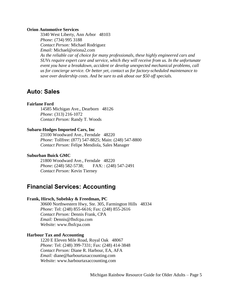#### **Orion Automotive Services**

3340 West Liberty, Ann Arbor 48103 *Phone:* (734) 995 3188 *Contact Person:* Michael Rodriguez *Email:* Michael@oriona2.com *As the reliable car of choice for many professionals, these highly engineered cars and SUVs require expert care and service, which they will receive from us. In the unfortunate event you have a breakdown, accident or develop unexpected mechanical problems, call us for concierge service. Or better yet, contact us for factory-scheduled maintenance to save over dealership costs. And be sure to ask about our \$50 off specials.*

# <span id="page-4-0"></span>**Auto: Sales**

#### **Fairlane Ford**

14585 Michigan Ave., Dearborn 48126 *Phone:* (313) 216-1072 *Contact Person:* Randy T. Woods

## **Subaru-Hodges Imported Cars, Inc**

23100 Woodward Ave., Ferndale 48220 *Phone:* Tollfree: (877) 547-8825; Main: (248) 547-8800 *Contact Person:* Felipe Mendiola, Sales Manager

# **Suburban Buick GMC**

21800 Woodward Ave., Ferndale 48220 *Phone:* (248) 582-5738; FAX: : (248) 547-2491 *Contact Person:* Kevin Tierney

# <span id="page-4-1"></span>**Financial Services: Accounting**

# **Frank, Hirsch, Subelsky & Freedman, PC**

30600 Northwestern Hwy, Ste. 305, Farmington Hills 48334 *Phone:* Tel: (248) 855-6616; Fax: (248) 855-2616 *Contact Person:* Dennis Frank, CPA *Email:* Dennis@fhsfcpa.com *Website:* www.fhsfcpa.com

# **Harbour Tax and Accounting**

1220 E Eleven Mile Road, Royal Oak 48067 *Phone:* Tel: (248) 399-7331; Fax: (248) 414-3848 *Contact Person:* Diane R. Harbour, EA, AFA *Email:* diane@harbourtaxaccounting.com *Website:* www.harbourtaxaccounting.com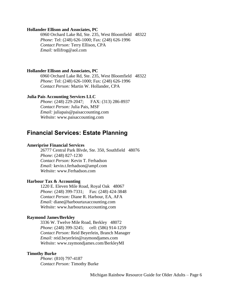## **Hollander Ellison and Associates, PC**

6960 Orchard Lake Rd, Ste. 235, West Bloomfield 48322 *Phone:* Tel: (248) 626-1000; Fax: (248) 626-1996 *Contact Person:* Terry Ellison, CPA *Email:* tellifrog@aol.com

# **Hollander Ellison and Associates, PC**

6960 Orchard Lake Rd, Ste. 235, West Bloomfield 48322 *Phone:* Tel: (248) 626-1000; Fax: (248) 626-1996 *Contact Person:* Martin W. Hollander, CPA

## **Julia Pais Accounting Services LLC**

*Phone:* (248) 229-2047; FAX: (313) 286-8937 *Contact Person:* Julia Pais, MSF *Email:* juliapais@paisaccounting.com *Website:* www.paisaccounting.com

# <span id="page-5-0"></span>**Financial Services: Estate Planning**

#### **Ameriprise Financial Services**

26777 Central Park Blvde, Ste. 350, Southfield 48076 *Phone:* (248) 827-1230 *Contact Person:* Kevin T. Ferhadson *Email:* kevin.t.ferhadson@ampf.com *Website:* www.Ferhadson.com

# **Harbour Tax & Accounting**

1220 E. Eleven Mile Road, Royal Oak 48067 *Phone:* (248) 399-7331; Fax: (248) 424-3848 *Contact Person:* Diane R. Harbour, EA, AFA *Email:* diane@harbourtaxaccounting.com *Website:* www.harbourtaxaccounting.com

#### **Raymond James/Berkley**

3336 W. Twelve Mile Road, Berkley 48072 *Phone:* (248) 399-3245; cell: (586) 914-1259 *Contact Person:* Reid Beyerlein, Branch Manager *Email:* reid.beyerlein@raymondjames.com *Website:* www.raymondjames.com/BerkleyMI

#### **Timothy Burke**

*Phone:* (810) 797-4187 *Contact Person:* Timothy Burke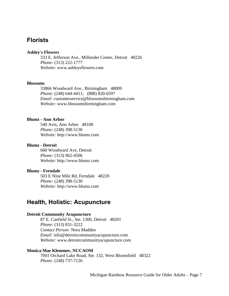# <span id="page-6-0"></span>**Florists**

# **Ashley's Flowers**

333 E. Jefferson Ave., Millender Center, Detroit 48226 *Phone:* (313) 222-1777 *Website:* www.ashleysflowers.com

# **Blossoms**

33866 Woodward Ave., Birmingham 48009 *Phone:* (248) 644-4411; (888) 820-6597 *Email:* customerservice@blossomsbirmingham.com *Website:* www.blossomsbirmingham.com

# **Blumz - Ann Arbor**

540 Avis, Ann Arbor 48108 *Phone:* (248) 398-5130 *Website:* http://www.blumz.com

#### **Blumz - Detroit**

660 Woodward Ave, Detroit *Phone:* (313) 962-4506 *Website:* http://www.blumz.com

#### **Blumz - Ferndale**

503 E Nine Mile Rd, Ferndale 48220 *Phone:* (248) 398-5130 *Website:* http://www.blumz.com

# <span id="page-6-1"></span>**Health, Holistic: Acupuncture**

## **Detroit Community Acupuncture**

87 E. Canfield St., Ste. 1300, Detroit 48201 *Phone:* (313) 831-3222 *Contact Person:* Nora Madden *Email:* info@detroitcommunityacupuncture.com *Website:* www.detroitcommunityacupuncture.com

## **Monica Mae Klemmer, NCCAOM**

7001 Orchard Lake Road, Ste. 132, West Bloomfield 48322 *Phone:* (248) 737-7126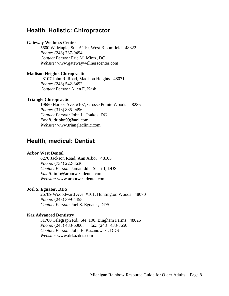# <span id="page-7-0"></span>**Health, Holistic: Chiropractor**

# **Gateway Wellness Center**

5600 W. Maple, Ste. A110, West Bloomfield 48322 *Phone:* (248) 737-9494 *Contact Person:* Eric M. Mintz, DC *Website:* www.gatewaywellnesscenter.com

## **Madison Heights Chiropractic**

28107 John R. Road, Madison Heights 48071 *Phone:* (248) 542-3492 *Contact Person:* Allen E. Kash

## **Triangle Chiropractic**

19650 Harper Ave. #107, Grosse Pointe Woods 48236 *Phone:* (313) 885-9496 *Contact Person:* John L. Tsakos, DC *Email:* drjphn99@aol.com *Website:* www.triangleclinic.com

# <span id="page-7-1"></span>**Health, medical: Dentist**

## **Arbor West Dental**

6276 Jackson Road, Ann Arbor 48103 *Phone:* (734) 222-3636 *Contact Person:* Jamaulddin Shariff, DDS *Email:* info@arborwestdental.com *Website:* www.arborwestdental.com

# **Joel S. Egnater, DDS**

26789 Wooodward Ave. #101, Huntington Woods 48070 *Phone:* (248) 399-4455 *Contact Person:* Joel S. Egnater, DDS

## **Kaz Advanced Dentistry**

31700 Telegraph Rd., Ste. 100, Bingham Farms 48025 *Phone:* (248) 433-6000; fax: (248 433-3650 *Contact Person:* John E. Kazanowski, DDS *Website:* www.drkazdds.com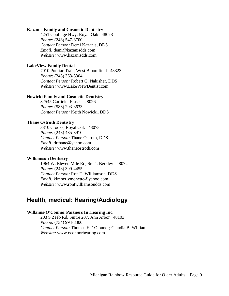#### **Kazanis Family and Cosmetic Dentistry**

4251 Coolidge Hwy, Royal Oak 48073 *Phone:* (248) 547-3700 *Contact Person:* Demi Kazanis, DDS *Email:* demi@kazanisdds.com *Website:* www.kazanisdds.com

# **LakeView Family Dental**

7010 Pontiac Trail, West Bloomfield 48323 *Phone:* (248) 363-3304 *Contact Person:* Robert G. Nakisher, DDS *Website:* www.LakeViewDentist.com

#### **Nowicki Family and Cosmetic Dentistry**

32545 Garfield, Fraser 48026 *Phone:* (586) 293-3633 *Contact Person:* Keith Nowicki, DDS

# **Thane Ostroth Dentistry**

3310 Crooks, Royal Oak 48073 *Phone:* (248) 435-3910 *Contact Person:* Thane Ostroth, DDS *Email:* drthane@yahoo.com *Website:* www.thaneostroth.com

# **Williamson Dentistry**

1964 W. Eleven Mile Rd, Ste 4, Berkley 48072 *Phone:* (248) 399-4455 *Contact Person:* Ron T. Williamson, DDS *Email:* kimberlymonette@yahoo.com *Website:* www.rontwilliamsondds.com

# <span id="page-8-0"></span>**Health, medical: Hearing/Audiology**

# **Willaims-O'Connor Partners In Hearing Inc.**

203 S Zeeb Rd, Suitre 207, Ann Arbor 48103 *Phone:* (734) 994-8300 *Contact Person:* Thomas E. O'Connor; Claudia B. Williams *Website:* www.oconnorhearing.com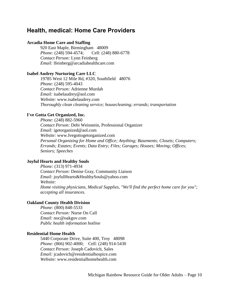# <span id="page-9-0"></span>**Health, medical: Home Care Providers**

# **Arcadia Home Care and Staffing**

920 East Maple, Birmingham 48009 *Phone:* (248) 594-4574; Cell: (248) 880-6778 *Contact Person:* Lynn Feinberg *Email:* lfeinberg@arcadiahealthcare.com

## **Isabel Audrey Nurturing Care LLC**

19785 West 12 Mile Rd, #320, Southfield 48076 *Phone:* (248) 595-4043 *Contact Person:* Adrienne Murdah *Email:* isabelaudrey@aol.com *Website:* www.isabelaudrey.com *Thoroughly clean cleaning service; housecleaning; errands; transportation*

# **I've Gotta Get Organized, Inc.**

*Phone:* (248) 882-5960 *Contact Person:* Debi Weinstein, Professional Organizer *Email:* igetorganized@aol.com *Website:* www.Ivegottogetorganized.com *Personal Organizing for Home and Office; Anything; Basements; Closets; Computers; Errands; Estates; Events; Data Entry; Files; Garages; Houses; Moving; Offices; Seniors; Speeches*

# **Joyful Hearts and Healthy Souls**

*Phone:* (313) 971-4934 *Contact Person:* Denise Gray, Community Liaison *Email:* joyfulHearts&HealthySouls@yahoo.com *Website: Home visiting physicians, Medical Supplies, "We'll find the perfect home care for you"; accepting all insurances.*

# **Oakland County Health Division**

*Phone:* (800) 848-5533 *Contact Person:* Nurse On Call *Email:* noc@oakgov.com *Public health information hotline*

## **Residential Home Health**

5440 Corporate Drive, Suite 400, Troy 48098 *Phone:* (866) 902-4000; Cell: (248) 914-5430 *Contact Person:* Joseph Cadovich, Sales *Email:* jcadovich@residentialhospice.com *Website:* www.residentialhomehealth.com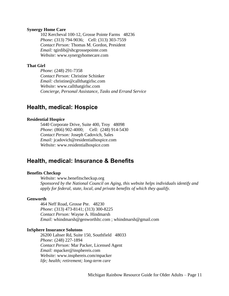## **Synergy Home Care**

102 Kercheval 100-12, Grosse Pointe Farms 48236 *Phone:* (313) 794-9036; Cell: (313) 303-7559 *Contact Person:* Thomas M. Gordon, President *Email:* tgirdib@shcgrossepointe.com *Website:* www.synergyhomecare.com

# **That Girl**

*Phone:* (248) 291-7358 *Contact Person:* Christine Schinker *Email:* christine@callthatgirlsc.com *Website:* www.callthatgirlsc.com *Concierge, Personal Assistance, Tasks and Errand Service*

# <span id="page-10-0"></span>**Health, medical: Hospice**

# **Residential Hospice**

5440 Corporate Drive, Suite 400, Troy 48098 *Phone:* (866) 902-4000; Cell: (248) 914-5430 *Contact Person:* Joseph Cadovich, Sales *Email:* jcadovich@residentialhospice.com *Website:* www.residentialhospice.com

# <span id="page-10-1"></span>**Health, medical: Insurance & Benefits**

## **Benefits Checkup**

*Website:* www.benefitscheckup.org *Sponsored by the National Council on Aging, this website helps individuals identify and apply for federal, state, local, and private benefits of which they qualify.*

#### **Genworth**

464 Neff Road, Grosse Pte. 48230 *Phone:* (313) 473-8141; (313) 300-8225 *Contact Person:* Wayne A. Hindmarsh *Email:* whindmarsh@genworthltc.com ; whindmarsh@gmail.com

#### **InSphere Insurance Solutons**

26200 Lahser Rd, Suite 150, Southfield 48033 *Phone:* (248) 227-1894 *Contact Person:* Mar Packer, Licensed Agent *Email:* mpacker@insphereis.com *Website:* www.insphereis.com/mpacker *life; health; retirement; long-term care*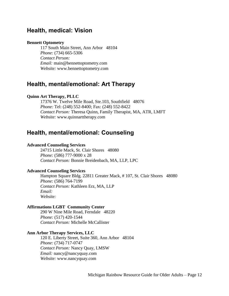# <span id="page-11-0"></span>**Health, medical: Vision**

# **Bennett Optometry**

117 South Main Street, Ann Arbor 48104 *Phone:* (734) 665-5306 *Contact Person: Email:* main@bennettoptometry.com *Website:* www.bennettoptometry.com

# <span id="page-11-1"></span>**Health, mental/emotional: Art Therapy**

# **Quinn Art Therapy, PLLC**

17376 W. Twelve Mile Road, Ste.103, Southfield 48076 *Phone:* Tel: (248) 552-8400; Fax: (248) 552-8422 *Contact Person:* Theresa Quinn, Family Therapist, MA, ATR, LMFT *Website:* www.quinnarttherapy.com

# <span id="page-11-2"></span>**Health, mental/emotional: Counseling**

## **Advanced Counseling Services**

24715 Little Mack, St. Clair Shores 48080 *Phone:* (586) 777-9000 x 28 *Contact Person:* Bonnie Breidenbach, MA, LLP, LPC

#### **Advanced Counseling Services**

Hampton Square Bldg. 22811 Greater Mack, # 107, St. Clair Shores 48080 *Phone:* (586) 764-7199 *Contact Person:* Kathleen Erz, MA, LLP *Email: Website:*

#### **Affirmations LGBT Community Center**

290 W Nine Mile Road, Ferndale 48220 *Phone:* (517) 420-1544 *Contact Person:* Michelle McCallister

## **Ann Arbor Therapy Services, LLC**

120 E. Liberty Street, Suite 360, Ann Arbor 48104 *Phone:* (734) 717-0747 *Contact Person:* Nancy Quay, LMSW *Email:* nancy@nancyquay.com *Website:* www.nancyquay.com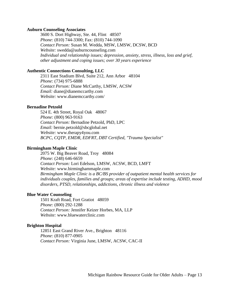#### **Auburn Counseling Associates**

3600 S. Dort Highway, Ste. 44, Flint 48507 *Phone:* (810) 744-3300; Fax: (810) 744-1090 *Contact Person:* Susan M. Wedda, MSW, LMSW, DCSW, BCD *Website:* swedda@auburncounseling.com *Individual and relationship issues; depression, anxiety, stress, illness, loss and grief, other adjustment and coping issues; over 30 years experience*

# **Authentic Connections Consulting, LLC**

2311 East Stadium Blvd, Suite 212, Ann Arbor 48104 *Phone:* (734) 975-6888 *Contact Person:* Diane McCarthy, LMSW, ACSW *Email:* diane@dianemccarthy.com *Website:* www.dianemccarthy.com/

# **Bernadine Petzold**

524 E. 4th Street, Royal Oak 48067 *Phone:* (800) 963-9163 *Contact Person:* Bernadine Petzold, PhD, LPC *Email:* bernie.petzold@sbcglobal.net *Website:* www.therapy4you.com *BCPC, CQTP, EMDR, EDFRT, DBT Certified, "Trauma Specialist"*

#### **Birmingham Maple Clinic**

2075 W. Big Beaver Road, Troy 48084 *Phone:* (248) 646-6659 *Contact Person:* Lori Edelson, LMSW, ACSW, BCD, LMFT *Website:* www.birminghammaple.com *Birmingham Maple Clinic is a BC/BS provider of outpatient mental health services for individuals couples, families and groups; areas of expertise include testing, ADHD, mood disorders, PTSD, relationships, addictions, chronic illness and violence*

#### **Blue Water Counseling**

1501 Kraft Road, Fort Gratiot 48059 *Phone:* (800) 292-1288 *Contact Person:* Jennifer Keizer Horbes, MA, LLP *Website:* www.bluewaterclinic.com

#### **Brighton Hospital**

12851 East Grand River Ave., Brighton 48116 *Phone:* (810) 877-0905 *Contact Person:* Virginia June, LMSW, ACSW, CAC-II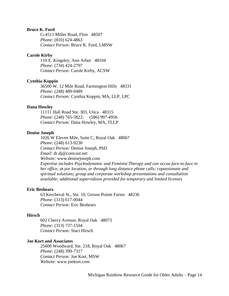# **Bruce K. Ford**

G-4511 Miller Road, Flint 48507 *Phone:* (810) 624-4863 *Contact Person:* Bruce K. Ford, LMSW

## **Carole Kirby**

110 E. Kingsley, Ann Arbor 48104 *Phone:* (734) 424-2797 *Contact Person:* Carole Kirby, ACSW

#### **Cynthia Koppin**

36500 W. 12 Mile Road, Farmington Hills 48331 *Phone:* (248) 489-0489 *Contact Person:* Cynthia Koppin, MA, LLP, LPC

#### **Dana Howley**

11111 Hall Road Ste. 303, Utica 48315 *Phone:* (248) 765-5822; (586) 997-4956 *Contact Person:* Dana Howley, MA, TLLP

## **Denise Joseph**

1026 W Eleven Mile, Suite C, Royal Oak 48067 *Phone:* (248) 613-9230 *Contact Person:* Denise Joseph, PhD *Email:* dr.dj@comcast.net *Website:* www.denisejoseph.com *Expertise includes Psychodynamic and Feminist Therapy and can occue face-to-face in her office, at yor location, or through long distance phone calls; copassionate and spiritual solutions; group and corporate workshop presentations and consultation available; additional supervidsion provided for temporary and limited licenses*

#### **Eric Beshears**

63 Kercheval St., Ste. 10, Grosse Pointe Farms 48236 *Phone:* (313) 617-0044 *Contact Person:* Eric Beshears

#### **Hirsch**

602 Cherry Avenue, Royal Oak 48073 *Phone:* (313) 737-1504 *Contact Person:* Staci Hirsch

## **Joe Kort and Associates**

25600 Woodward, Ste. 218, Royal Oak 48067 *Phone:* (248) 399-7317 *Contact Person:* Joe Kort, MSW *Website:* www.joekort.com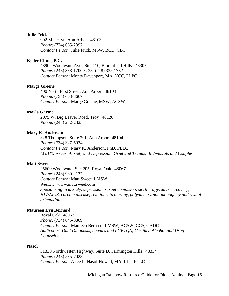# **Julie Frick**

902 Miner St., Ann Arbor 48103 *Phone:* (734) 665-2397 *Contact Person:* Julie Frick, MSW, BCD, CBT

# **Keller Clinic, P.C.**

43902 Woodward Ave., Ste. 110, Bloomfield Hills 48302 *Phone:* (248) 338-1700 x. 38; (248) 335-1732 *Contact Person:* Monty Davenport, MA, NCC, LLPC

## **Marge Greene**

400 North First Street, Ann Arbor 48103 *Phone:* (734) 668-8667 *Contact Person:* Marge Greene, MSW, ACSW

# **Marla Garmo**

2075 W. Big Beaver Road, Troy 48126 *Phone:* (248) 282-2323

# **Mary K. Anderson**

328 Thompson, Suite 201, Ann Arbor 48104 *Phone:* (734) 327-5934 *Contact Person:* Mary K. Anderson, PhD, PLLC *LGBTQ issues, Anxiety and Depression, Grief and Trauma, Individuals and Couples*

#### **Matt Sweet**

25600 Woodward, Ste. 205, Royal Oak 48067 *Phone:* (248) 930-2137 *Contact Person:* Matt Sweet, LMSW *Website:* www.mattsweet.com *Specializing in anxiety, depression, sexual complsion, sex therapy, abuse recovery, HIV/AIDS, chronic disease, relationship therapy, polyamoury/non-monogamy and sexual orientation*

# **Maureen Lyn Bernard**

Royal Oak 48067 *Phone:* (734) 645-8809 *Contact Person:* Maureen Bernard, LMSW, ACSW, CCS, CADC *Addictions, Dual Diagnosis, couples and LGBTQA; Certified Alcohol and Drug Counselor*

#### **Nasol**

31330 Northwesten Highway, Suite D, Farmington Hills 48334 *Phone:* (248) 535-7028 *Contact Person:* Alice L. Nasol-Howell, MA, LLP, PLLC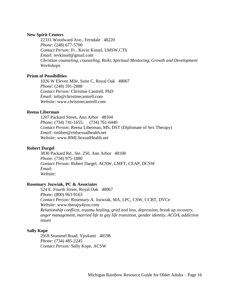# **New Spirit Centers**

22331 Woodward Ave., Ferndale 48220 *Phone:* (248) 677-5700 *Contact Person:* Fr.. Kevin Kinsel, LMSW,CTh *Email:* revkinsel@gmail.com *Christian counseling, counseling, Reiki, Spiritual Mentoring, Growth and Development Workshops*

# **Prism of Possibilities**

1026 W Eleven Mile, Suite C, Royal Oak 48067 *Phone:* (248) 591-2888 *Contact Person:* Christine Cantrell, PhD *Email:* info@christinecantrell.com *Website:* www.christinecantrell.com

# **Reena Liberman**

1207 Packard Street, Ann Arbor 48104 *Phone:* (734) 741-1655; (734) 761-6440 *Contact Person:* Reena Liberman, MS, DST (Diplomate of Sex Therapy) *Email:* rmliber@rmlsexualhealth.net *Website:* www.RMLSexualHealth.net

# **Robert Dargel**

3830 Packard Rd., Ste. 250, Ann Arbor 48108 *Phone:* (734) 975-1880 *Contact Person:* Robert Dargel, ACSW, LMFT, CEAP, DCSW *Email: Website:*

#### **Rosemary Jozwiak, PC & Associates**

524 E. Fourth Street, Royal Oak 48067 *Phone:* (800) 963-9163 *Contact Person:* Rosemary A. Jozwiak, MA, LPC, CSW, CCBT, DVCe *Website:* www.therapy4you.com *Relationship conflicts, trauma healing, grief and loss, depression, break up recovery, anger management, married life to gay life transition, gender identity, ACOA, addiction issues*

#### **Sally Kope**

2918 Stommel Road, Ypsilanti 48198 *Phone:* (734) 485-2245 *Contact Person:* Sally Kope, ACSW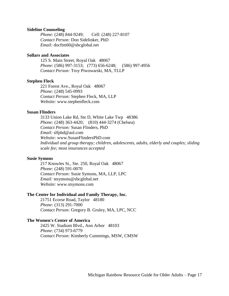#### **Sideline Counseling**

*Phone:* (248) 844-9249; Cell: (248) 227-8107 *Contact Person:* Don Sidelinker, PhD *Email:* docftm60@sbcglobal.net

## **Sollars and Associates**

125 S. Main Street, Royal Oak 48067 *Phone:* (586) 997-3153; (773) 656-6248; (586) 997-4956 *Contact Person:* Troy Piwowarski, MA, TLLP

#### **Stephen Fleck**

221 Forest Ave., Royal Oak 48067 *Phone:* (248) 545-0993 *Contact Person:* Stephen Fleck, MA, LLP *Website:* www.stephenfleck.com

## **Susan Flinders**

3133 Union Lake Rd, Ste D, White Lake Twp 48386 *Phone:* (248) 363-4420; (810) 444-3274 (Chelsea) *Contact Person:* Susan Flinders, PhD *Email:* slfphd@aol.com *Website:* www.SusanFlindersPhD.com *Individual and group therapy; children, adolescents, adults, elderly and couples; sliding scale fee; most insurances accepted*

## **Susie Symons**

217 Knowles St., Ste. 250, Royal Oak 48067 *Phone:* (248) 591-0070 *Contact Person:* Susie Symons, MA, LLP, LPC *Email:* stsymons@sbcglobal.net *Website:* www.stsymons.com

# **The Center for Individual and Family Therapy, Inc.**

21751 Ecorse Road, Taylor 48180 *Phone:* (313) 291-7000 *Contact Person:* Gregory B. Gruley, MA, LPC, NCC

## **The Women's Center of America**

2425 W. Stadium Blvd., Ann Arbor 48103 *Phone:* (734) 973-6779 *Contact Person:* Kimberly Cummings, MSW, CMSW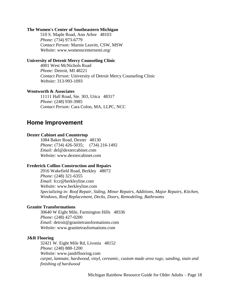#### **The Women's Center of Southeastern Michigan**

510 S. Maple Road, Ann Arbor 48103 *Phone:* (734) 973-6779 *Contact Person:* Marnie Leavitt, CSW, MSW *Website:* www.womenscentersemi.org/

## **University of Detroit Mercy Counseling Clinic**

4001 West McNichols Road *Phone:* Detroit, MI 48221 *Contact Person:* University of Detroit Mercy Counseling Clinic *Website:* 313-993-1093

#### **Wentworth & Associates**

11111 Hall Road, Ste. 303, Utica 48317 *Phone:* (248) 930-3985 *Contact Person:* Cara Colon, MA, LLPC, NCC

# <span id="page-17-0"></span>**Home Improvement**

# **Dexter Cabinet and Countertop**

1084 Baker Road, Dexter 48130 *Phone:* (734) 426-5035; (734) 216-1492 *Email:* del@dextercabinet.com *Website:* www.dextercabinet.com

#### **Frederick Collins Construction and Repairs**

2916 Wakefield Road, Berkley 48072 *Phone:* (248) 321-6355 *Email:* fccr@berkleyline.com *Website:* www.berkleyline.com *Specializing in: Roof Repair, Siding, Minor Repairs, Additions, Major Repairs, Kitchen, Windows, Roof Replacement, Decks, Doors, Remodeling, Bathrooms*

#### **Granite Transformations**

30640 W Eight Mile, Farmington Hills 48336 *Phone:* (248) 427-0200 *Email:* detroit@granitetransformations.com *Website:* www.granitetrasformations.com

#### **J&R Flooring**

32421 W. Eight Mile Rd, Livonia 48152 *Phone:* (248) 888-1200 *Website:* www.jandrflooring.com *carpet, lamnate, hardwood, vinyl, cereamic, custom made area rugs; sanding, stain and finishing of hardwood*

Michigan Rainbow Resource Guide for Older Adults – Page 18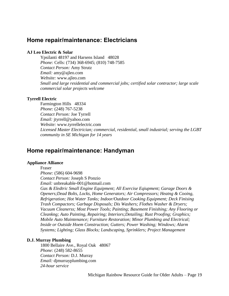# <span id="page-18-0"></span>**Home repair/maintenance: Electricians**

# **AJ Leo Electric & Solar**

Ypsilanti 48197 and Harsens Island 48028 *Phone:* Cells: (734) 368-6945; (810) 748-7585 *Contact Person:* Amy Strutz *Email:* amy@ajleo.com *Website:* www.ajleo.com *Small and large residential and commercial jobs; certified solar contractor; large scale commercial solar projects welcome*

# **Tyrrell Electric**

Farmington Hills 48334 *Phone:* (248) 767-5238 *Contact Person:* Joe Tyrrell *Email:* jtyrrell@yahoo.com *Website:* www.tyrrellelectric.com *Licensed Master Electrician; commercial, residential, small industrial; serving the LGBT community in SE Michigan for 14 years*

# <span id="page-18-1"></span>**Home repair/maintenance: Handyman**

# **Appliance Alliance**

Fraser *Phone:* (586) 604-9698 *Contact Person:* Joseph S Ponzio *Email:* unbreakable-001@hotmail.com

*Gas & Eledtric Small Engine Equipment; All Exercise Eqiupment; Garage Doors & Openers;Dead Bolts, Locks, Home Generators; Air Compressors; Heatng & Cooing, Refrigeration; Hot Water Tanks; Indoor/Outdoor Cooking Equipment; Deck Finising Trash Compactors; Garbage Disposals; Dis Washers; Flothes Washer & Dryers; Vacuum Cleanerss; Most Power Tools; Painting; Basement Finishing; Any Flooring or Cleankng; Auto Painting, Repairing; Interiors;Detailing; Rust Proofing; Graphics; Mobile Auto Maintenance; Furniture Restoration; Minor Plumbing and Electrical; Inside or Outside Hoem Construction; Gutters; Power Washing; Windows; Alarm Systems; Lighting; Glass Blocks; Landscaping, Sprinklers; Project Management*

# **D.J. Murray Plumbing**

1800 Bellaire Ave., Royal Oak 48067 *Phone:* (248) 582-8655 *Contact Person:* D.J. Murray *Email:* djmurrayplumbing.com *24-hour service*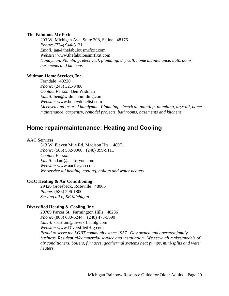## **The Fabulous Mr Fixit**

203 W. Michigan Ave. Suite 308, Saline 48176 *Phone:* (734) 944-3121 *Email:* jan@thefabulousmrfixit.com *Website:* www.thefabulousmrfixit.com *Handyman, Plumbing, electrical, plumbing, drywall, home maintenance, bathrooms, basements and kitchens*

## **Widman Home Services, Inc.**

Ferndale 48220 *Phone:* (248) 321-9486 *Contact Person:* Ben Widman *Email:* ben@widmanbuilding.com *Website:* www.honeydonelist.com *Licensed and insured handyman, Plumbing, electrical, painting, plumbing, drywall, home maintenance, carpentry, remodel projects, bathrooms, basements and kitchens*

# <span id="page-19-0"></span>**Home repair/maintenance: Heating and Cooling**

## **AAC Services**

513 W. Eleven Mile Rd, Madison Hts. 48071 *Phone:* (586) 582-9000; (248) 399-9111 *Contact Person: Email:* adam@aacforyou.com *Website:* www.aacforyou.com *We service all heating, cooling, boilers and water heaters*

# **C&C Heating & Air Conditioning**

29420 Groesbeck, Roseville 48066 *Phone:* (586) 296-1800 *Serving all of SE Michigan*

#### **Diversified Heating & Cooling, Inc.**

20789 Parker St., Farmington Hills 48236 *Phone:* (800) 680-6244; (248) 473-5690 *Email:* sbartram@diversifiedhtg.com *Website:* www.DiversifiedHtg.com *Proud to serve the LGBT community since 1957. Gay owned and operated family business. Residential/commercial service and installation. We serve all makes/models of air conditioners, boilers, furnaces, geothermal systems heat pumps, mini-splits and water heaters*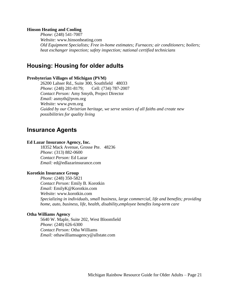## **Hinson Heating and Cooling**

*Phone:* (248) 541-7007 *Website:* www.hinsonheating.com *Old Equipment Specialists; Free in-home estimates; Furnaces; air conditioners; boilers; heat exchanger inspection; safety inspection; national certified technicians*

# <span id="page-20-0"></span>**Housing: Housing for older adults**

## **Presbyterian Villages of Michigan (PVM)**

26200 Lahser Rd., Suite 300, Southfield 48033 *Phone:* (248) 281-8179; Cell: (734) 787-2007 *Contact Person:* Amy Smyth, Project Director *Email:* asmyth@pvm.org *Website:* www.pvm.org *Guided by our Christrian heritage, we serve seniors of all faiths and create new possibilitries for quality living*

# <span id="page-20-1"></span>**Insurance Agents**

## **Ed Lazar Insurance Agency, Inc.**

18352 Mack Avenue, Grosse Pte. 48236 *Phone:* (313) 882-0600 *Contact Person:* Ed Lazar *Email:* ed@edlazarinsurance.com

## **Korotkin Insurance Group**

*Phone:* (248) 350-5821 *Contact Person:* Emily B. Korotkin *Email:* EmilyK@Korotkin.com *Website:* www.korotkin.com *Specializing in individuals, small business, large commercial, life and benefits; providing home, auto, business, life, health, disability,employee benefits long-term care*

# **Otha Williams Agency**

5640 W. Maple, Suite 202, West Bloomfield *Phone:* (248) 626-6300 *Contact Person:* Otha Williams *Email:* othawilliamsagency@allstate.com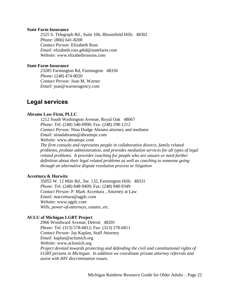#### **State Farm Insurance**

2525 S. Telegraph Rd., Suite 106, Bloomfield Hills 48302 *Phone:* (866) 641-8200 *Contact Person:* Elizabeth Ross *Email:* elizabeth.ross.g4id@statefarm.com *Website:* www.elizabethrossins.com

# **State Farm Insurance**

23285 Farmington Rd, Farmington 48336 *Phone:* (248) 474-8020 *Contact Person:* Joan M. Warner *Email:* joan@warneragency.com

# <span id="page-21-0"></span>**Legal services**

## **Abrams Law Firm, PLLC**

1212 South Washington Avenue, Royal Oak 48067 *Phone:* Tel: (248) 546-0900; Fax: (248) 298-1212 *Contact Person:* Nina Dodge Abrams attorney and mediator *Email:* ninadabrams@abramspc.com *Website:* www.abramspc.com *The firm consults and represents people in collaborative divorce, family related problems, probate administration, and provides mediation services for all types of legal related problems. It provides coaching for people who are unsure or need further definition about their legal related problems as well as coaching to someone going through an alternative dispute resolution process or litigation*

## **Accettura & Hurwitz**

35055 W. 12 Mile Rd., Ste. 132, Farmington Hills 48331 *Phone:* Tel: (248) 848-9409; Fax: (248) 848-9349 *Contact Person:* P. Mark Accettura , Attorney at Law *Email:* maccettura@agplc.com *Website:* www.agplc.com *Wills, power-of-attorneys, estates, etc.*

# **ACLU of Michigan LGBT Project**

2966 Woodward Avenue, Detroit 48201 *Phone:* Tel: (313) 578-6812; Fax: (313) 578-6811 *Contact Person:* Jay Kaplan, Staff Attorney *Email:* kaplan@aclumich.org *Website:* www.aclumich.org *Project devoted towards protecting and defending the civil and constitutional rights of LGBT persons in Michigan. In addition we coordinate private attorney referrals and assist with HIV discrimination issues.*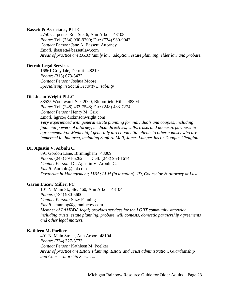# **Bassett & Associates, PLLC**

2750 Carpenter Rd., Ste. 6, Ann Arbor 48108 *Phone:* Tel: (734) 930-9200; Fax: (734) 930-9942 *Contact Person:* Jane A. Bassett, Attorney *Email:* jbassett@bassettlaw.com *Areas of practice are LGBT family law, adoption, estate planning, elder law and probate.*

# **Detroit Legal Services**

16861 Greydale, Detroit 48219 *Phone:* (313) 673-5472 *Contact Person:* Joshua Moore *Specializing in Social Security Disability*

#### **Dickinson Wright PLLC**

38525 Woodward, Ste. 2000, Bloomfield Hills 48304 *Phone:* Tel: (248) 433-7548; Fax: (248) 433-7274 *Contact Person:* Henry M. Grix *Email:* hgrix@dickinsonwright.com *Very experienced with general estate planning for individuals and couples, including financial powers of attorney, medical directives, wills, trusts and domestic partnership agreements. For Medicaid, I generally direct potential clients to other counsel who are immersed in that area, including Sanford Moll, James Lampertius or Douglas Chalgian.*

# **Dr. Agustin V. Arbulu C.**

891 Gordon Lane, Birmingham 48009 *Phone:* (248) 594-6262; Cell: (248) 953-1614 *Contact Person:* Dr. Agustin V. Arbulu C. *Email:* Aarbulu@aol.com *Doctorate in Management; MBA; LLM (in taxation), JD, Counselor & Attorney at Law*

# **Garan Lucow Miller, PC**

101 N. Main St., Ste. 460, Ann Arbor 48104 *Phone:* (734) 930-5600 *Contact Person:* Suzy Fanning *Email:* sfanning@garanlucow.com *Member of LAMBDA legal; provides services for the LGBT community statewide, including trusts, estate planning, probate, will contests, domestic partnership agreements and other legal matters.*

#### **Kathleen M. Poelker**

401 N. Main Street, Ann Arbor 48104 *Phone:* (734) 327-3773 *Contact Person:* Kathleen M. Poelker *Areas of practice are Estate Planning, Estate and Trust administration, Guardianship and Conservatorship Services.*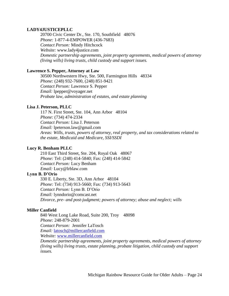# **LADY4JUSTICEPLLC**

20700 Civic Center Dr., Ste. 170, Southfield 48076 *Phone:* 1-877-4-EMPOWER (436-7683) *Contact Person:* Mindy Hitchcock *Website:* www.lady4justice.com *Domestic partnership agreements, joint property agreements, medical powers of attorney (living wills) living trusts, child custody and support issues.*

# **Lawrence S. Pepper, Attorney at Law**

30500 Northwestern Hwy, Ste. 500, Farmington Hills 48334 *Phone:* (248) 932-7600, (248) 851-9421 *Contact Person:* Lawrence S. Pepper *Email:* lpepper@voyager.net *Probate law, administration of estates, and estate planning*

# **Lisa J. Peterson, PLLC**

117 N. First Street, Ste. 104, Ann Arbor 48104 *Phone:* (734) 474-2334 *Contact Person:* Lisa J. Peterson *Email:* lpeterson.law@gmail.com *Areas: Wills, trusts, powers of attorney, real property, and tax considerations related to the estate, Medicaid and Medicare, SSI/SSDI*

# **Lucy R. Benham PLLC**

210 East Third Street, Ste. 204, Royal Oak 48067 *Phone:* Tel: (248) 414-5840; Fax: (248) 414-5842 *Contact Person:* Lucy Benham *Email:* Lucy@lrblaw.com

## **Lynn B. D'Orio**

330 E. Liberty, Ste. 3D, Ann Arbor 48104 *Phone:* Tel: (734) 913-5660; Fax: (734) 913-5643 *Contact Person:* Lynn B. D'Orio *Email:* lynndorio@comcast.net *Divorce, pre- and post-judgment; powers of attorney; abuse and neglect; wills*

# **Miller Canfield**

840 West Long Lake Road, Suite 200, Troy 48098 *Phone:* 248-879-2001 *Contact Person:* Jennifer LaTosch *Email:* [latosch@millercanfield.com](mailto:latosch@millercanfield.com) *Website:* [www.millercanfield.com](http://www.millercanfield.com/)

*Domestic partnership agreements, joint property agreements, medical powers of attorney (living wills) living trusts, estate planning, probate litigation, child custody and support issues.*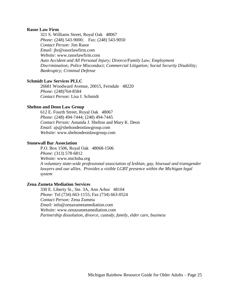## **Rasor Law Firm**

321 S. Williams Street, Royal Oak 48067 *Phone:* (248) 543-9000; Fax: (248) 543-9050 *Contact Person:* Jim Rasor *Email:* jbr@rasorlawfirm.com *Website:* www.rasorlawfirm.com *Auto Accident and All Personal Injury; Divorce/Family Law; Employment Discrimination; Police Misconduct; Commercial Litigation; Social Security Disability; Bankruptcy; Criminal Defense*

## **Schmidt Law Services PLLC**

26681 Woodward Avenue, 20015, Ferndale 48220 *Phone:* (248)764-8584 *Contact Person:* Lisa J. Schmidt

## **Shelton and Deon Law Group**

612 E. Fourth Street, Royal Oak 48067 *Phone:* (248) 494-7444; (248) 494-7445 *Contact Person:* Amanda J. Shelton and Mary K. Deon *Email:* ajs@sheltondeonlawgroup.com *Website:* www.sheltondeonlawgroup.com

#### **Stonewall Bar Association**

P.O. Box 1506, Royal Oak 48068-1506 *Phone:* (313) 578-6812 *Website:* www.michsba.org *A voluntary state-wide professional association of lesbian, gay, bisexual and transgender lawyers and our allies. Provides a visible LGBT presence within the Michigan legal system*

# **Zena Zumeta Mediation Services**

330 E. Liberty St., Ste. 3A, Ann Arbor 48104 *Phone:* Tel (734) 663-1155; Fax (734) 663-0524 *Contact Person:* Zena Zumeta *Email:* info@zenazumetamediation.com *Website:* www.zenazumetamediation.com *Partnership dissolution, divorce, custody, family, elder care, business*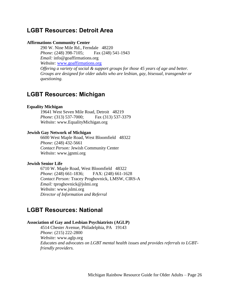# <span id="page-25-0"></span>**LGBT Resources: Detroit Area**

## **Affirmations Community Center**

290 W. Nine Mile Rd., Ferndale 48220 *Phone:* (248) 398-7105; Fax (248) 541-1943 *Email:* info@goaffirmations.org *Website:* [www.goaffirmations.org](http://www.goaffirmations.org/) *Offering a variety of social & support groups for those 45 years of age and better. Groups are designed for older adults who are lesbian, gay, bisexual, transgender or questioning.*

# <span id="page-25-1"></span>**LGBT Resources: Michigan**

# **Equality Michigan**

19641 West Seven Mile Road, Detroit 48219 *Phone:* (313) 537-7000; Fax (313) 537-3379 *Website:* www.EqualityMichigan.org

# **Jewish Gay Network of Michigan**

6600 West Maple Road, West Bloomfield 48322 *Phone:* (248) 432-5661 *Contact Person:* Jewish Community Center *Website:* www.jgnmi.org

## **Jewish Senior Life**

6710 W. Maple Road, West Bloomfield 48322 *Phone:* (248) 661-1836; FAX: (248) 661-1628 *Contact Person:* Tracey Proghovnick, LMSW, CIRS-A *Email:* tproghovnick@jslmi.org *Website:* www.jslmi.org *Director of Information and Referral*

# <span id="page-25-2"></span>**LGBT Resources: National**

# **Association of Gay and Lesbian Psychiatrists (AGLP)**

4514 Chester Avenue, Philadelphia, PA 19143 *Phone:* (215) 222-2800 *Website:* www.aglp.org *Educates and advocates on LGBT mental health issues and provides referrals to LGBTfriendly providers.*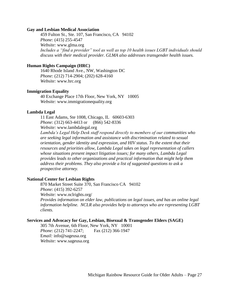#### **Gay and Lesbian Medical Association**

459 Fulton St., Ste. 107, San Francisco, CA 94102 *Phone:* (415) 255-4547 *Website:* www.glma.org *Includes a "find a provider" tool as well as top 10 health issues LGBT individuals should discuss with their medical provider. GLMA also addresses transgender health issues.*

# **Human Rights Campaign (HRC)**

1640 Rhode Island Ave., NW, Washington DC *Phone:* (212) 714-2904; (202) 628-4160 *Website:* www.hrc.org

#### **Immigration Equality**

40 Exchange Place 17th Floor, New York, NY 10005 *Website:* www.immigrationequality.org

#### **Lambda Legal**

11 East Adams, Ste 1008, Chicago, IL 60603-6303 *Phone:* (312) 663-4413 or (866) 542-8336 *Website:* www.lambdalegal.org

*Lambda's Legal Help Desk staff respond directly to members of our communities who are seeking legal information and assistance with discrimination related to sexual orientation, gender identity and expression, and HIV status. To the extent that their resources and priorities allow, Lambda Legal takes on legal representation of callers whose situations present impact litigation issues; for many others, Lambda Legal provides leads to other organizations and practical information that might help them address their problems. They also provide a list of suggested questions to ask a prospective attorney.*

# **National Center for Lesbian Rights**

870 Market Street Suite 370, San Francisco CA 94102 *Phone:* (415) 392-6257

*Website:* www.nclrights.org/

*Provides information on elder law, publications on legal issues, and has an online legal information helpline. NCLR also provides help to attorneys who are representing LGBT clients.*

#### **Services and Advocacy for Gay, Lesbian, Bisexual & Transgender Elders (SAGE)**

305 7th Avenue, 6th Floor, New York, NY 10001 *Phone:* (212) 741-2247; Fax (212) 366-1947 E*mail:* info@sageusa.org *Website:* www.sageusa.org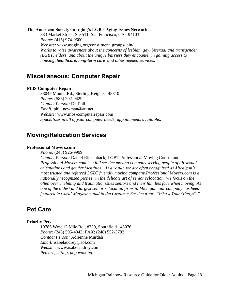#### **The American Society on Aging's LGBT Aging Issues Network**

833 Market Street, Ste 511, San Francisco, CA 94103 *Phone:* (415) 974-9600 *Website:* www.asaging.org/constituent\_groups/lain/ *Works to raise awareness about the concerns of lesbian, gay, bisexual and transgender (LGBT) elders and about the unique barriers they encounter in gaining access to housing, healthcare, long-term care and other needed services.*

# <span id="page-27-0"></span>**Miscellaneous: Computer Repair**

#### **MBS Computer Repair**

38045 Mound Rd., Sterling Heights 48310 *Phone:* (586) 292-9429 *Contact Person:* Dr. Phil *Email:* phil\_newman@att.net *Website:* www.mbs-computerrepair.com *Spdcializes in all of your computer needs; appointments available..*

# <span id="page-27-1"></span>**Moving/Relocation Services**

# **Professional Movers.com**

*Phone:* (248) 926-9999

*Contact Person:* Daniel Rickenback, LGBT Professional Moving Consultant *Professional Movers.com is a full service moving company serving people of all sexual orientations and gender identities. As a result, we are often recognized as Michigan's most trusted and referred LGBT friendly moving company.Professional Movers.com is a nationally recognized pioneer in the delicate art of senior relocation. We focus on the often overwhelming and traumatic issues seniors and their families face when moving. As one of the oldest and largest senior relocation firms in Michigan, our company has been featured in Corp! Magazine, and in the Customer Service Book, "Who's Your Gladys?."*

# <span id="page-27-2"></span>**Pet Care**

#### **Priority Pets**

19785 West 12 Mile Rd., #320, Southfield 48076 *Phone:* (248) 595-4043; FAX: (248) 552-3782 *Contact Person:* Adrienne Murdah *Email:* isabelaudrey@aol.com *Website:* www.isabelaudrey.com *Petcare, sitting, dog walking*